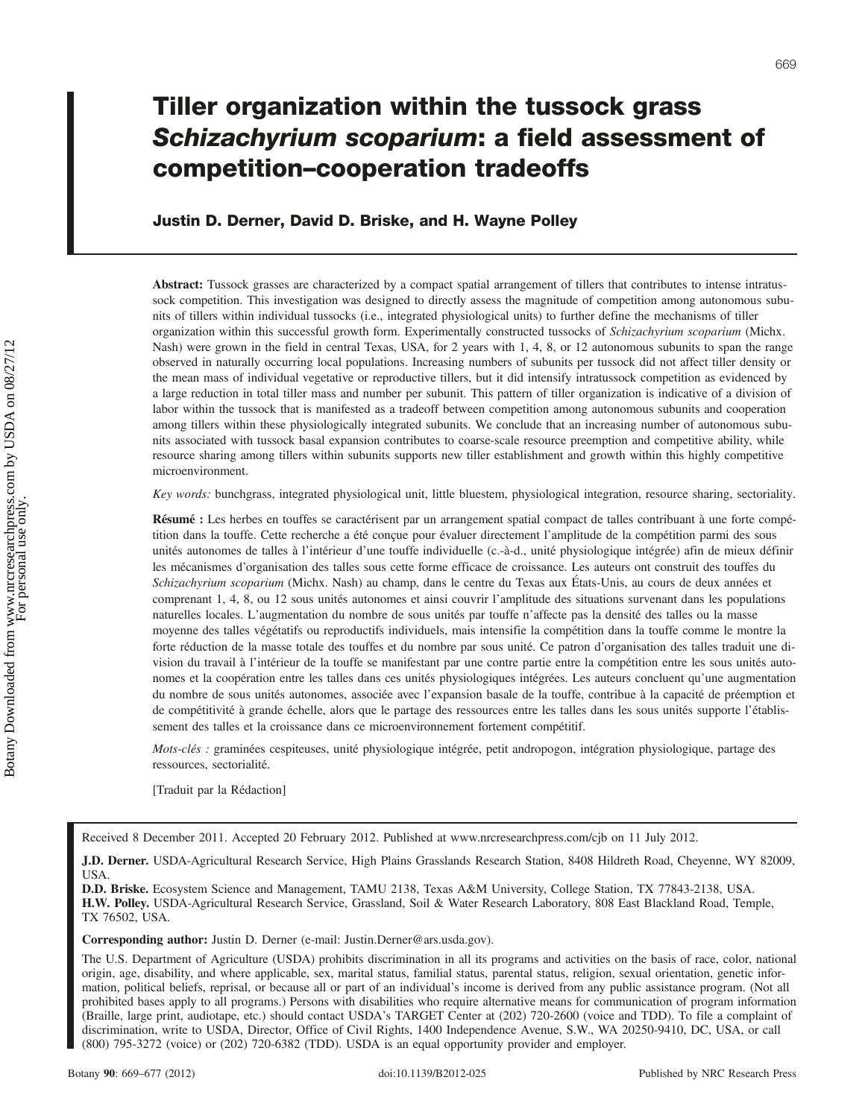# Tiller organization within the tussock grass Schizachyrium scoparium: a field assessment of competition–cooperation tradeoffs

Justin D. Derner, David D. Briske, and H. Wayne Polley

Abstract: Tussock grasses are characterized by a compact spatial arrangement of tillers that contributes to intense intratussock competition. This investigation was designed to directly assess the magnitude of competition among autonomous subunits of tillers within individual tussocks (i.e., integrated physiological units) to further define the mechanisms of tiller organization within this successful growth form. Experimentally constructed tussocks of Schizachyrium scoparium (Michx. Nash) were grown in the field in central Texas, USA, for 2 years with 1, 4, 8, or 12 autonomous subunits to span the range observed in naturally occurring local populations. Increasing numbers of subunits per tussock did not affect tiller density or the mean mass of individual vegetative or reproductive tillers, but it did intensify intratussock competition as evidenced by a large reduction in total tiller mass and number per subunit. This pattern of tiller organization is indicative of a division of labor within the tussock that is manifested as a tradeoff between competition among autonomous subunits and cooperation among tillers within these physiologically integrated subunits. We conclude that an increasing number of autonomous subunits associated with tussock basal expansion contributes to coarse-scale resource preemption and competitive ability, while resource sharing among tillers within subunits supports new tiller establishment and growth within this highly competitive microenvironment.

Key words: bunchgrass, integrated physiological unit, little bluestem, physiological integration, resource sharing, sectoriality.

Résumé : Les herbes en touffes se caractérisent par un arrangement spatial compact de talles contribuant à une forte compétition dans la touffe. Cette recherche a été conçue pour évaluer directement l'amplitude de la compétition parmi des sous unités autonomes de talles à l'intérieur d'une touffe individuelle (c.-à-d., unité physiologique intégrée) afin de mieux définir les mécanismes d'organisation des talles sous cette forme efficace de croissance. Les auteurs ont construit des touffes du Schizachyrium scoparium (Michx. Nash) au champ, dans le centre du Texas aux États-Unis, au cours de deux années et comprenant 1, 4, 8, ou 12 sous unités autonomes et ainsi couvrir l'amplitude des situations survenant dans les populations naturelles locales. L'augmentation du nombre de sous unités par touffe n'affecte pas la densité des talles ou la masse moyenne des talles végétatifs ou reproductifs individuels, mais intensifie la compétition dans la touffe comme le montre la forte réduction de la masse totale des touffes et du nombre par sous unité. Ce patron d'organisation des talles traduit une division du travail à l'intérieur de la touffe se manifestant par une contre partie entre la compétition entre les sous unités autonomes et la coopération entre les talles dans ces unités physiologiques intégrées. Les auteurs concluent qu'une augmentation du nombre de sous unités autonomes, associée avec l'expansion basale de la touffe, contribue à la capacité de préemption et de compétitivité à grande échelle, alors que le partage des ressources entre les talles dans les sous unités supporte l'établissement des talles et la croissance dans ce microenvironnement fortement compétitif.

Mots-clés : graminées cespiteuses, unité physiologique intégrée, petit andropogon, intégration physiologique, partage des ressources, sectorialité.

[Traduit par la Rédaction]

Received 8 December 2011. Accepted 20 February 2012. Published at www.nrcresearchpress.com/cjb on 11 July 2012.

J.D. Derner. USDA-Agricultural Research Service, High Plains Grasslands Research Station, 8408 Hildreth Road, Cheyenne, WY 82009, USA.

D.D. Briske. Ecosystem Science and Management, TAMU 2138, Texas A&M University, College Station, TX 77843-2138, USA. H.W. Polley. USDA-Agricultural Research Service, Grassland, Soil & Water Research Laboratory, 808 East Blackland Road, Temple, TX 76502, USA.

Corresponding author: Justin D. Derner (e-mail: Justin.Derner@ars.usda.gov).

The U.S. Department of Agriculture (USDA) prohibits discrimination in all its programs and activities on the basis of race, color, national origin, age, disability, and where applicable, sex, marital status, familial status, parental status, religion, sexual orientation, genetic information, political beliefs, reprisal, or because all or part of an individual's income is derived from any public assistance program. (Not all prohibited bases apply to all programs.) Persons with disabilities who require alternative means for communication of program information (Braille, large print, audiotape, etc.) should contact USDA's TARGET Center at (202) 720-2600 (voice and TDD). To file a complaint of discrimination, write to USDA, Director, Office of Civil Rights, 1400 Independence Avenue, S.W., WA 20250-9410, DC, USA, or call (800) 795-3272 (voice) or (202) 720-6382 (TDD). USDA is an equal opportunity provider and employer.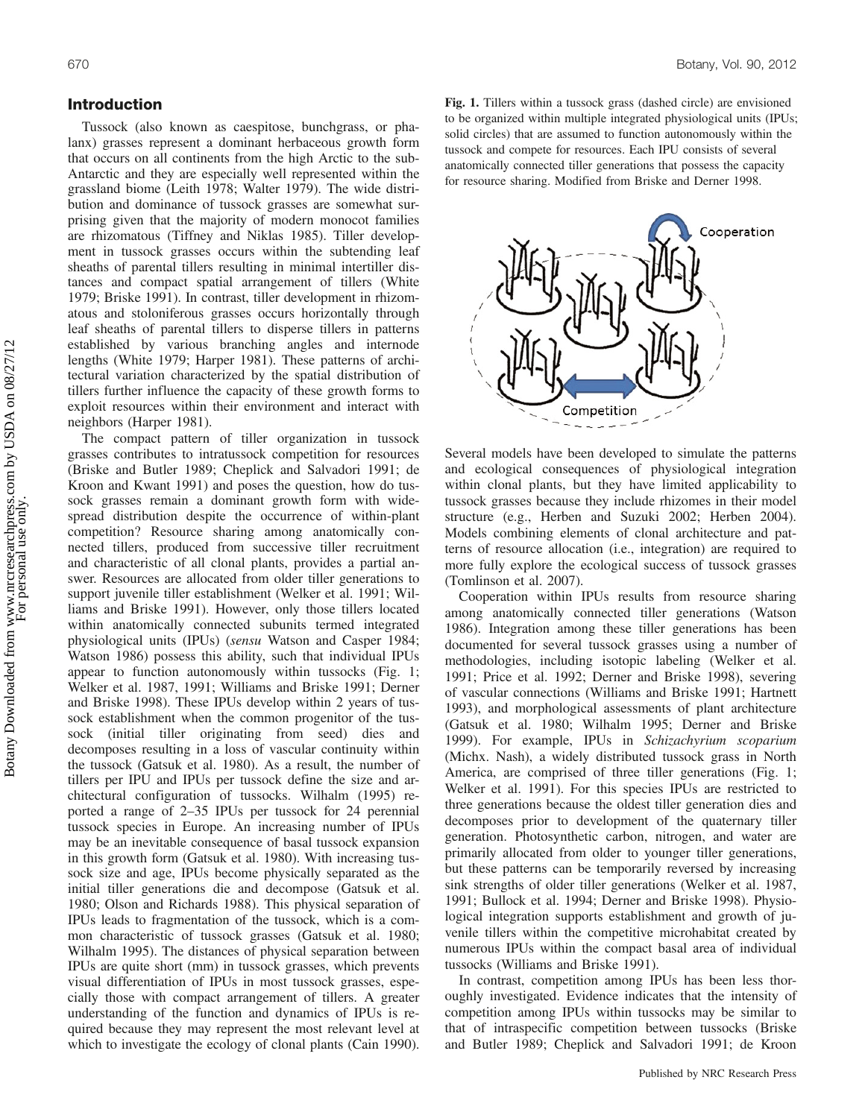# Introduction

Tussock (also known as caespitose, bunchgrass, or phalanx) grasses represent a dominant herbaceous growth form that occurs on all continents from the high Arctic to the sub-Antarctic and they are especially well represented within the grassland biome (Leith 1978; Walter 1979). The wide distribution and dominance of tussock grasses are somewhat surprising given that the majority of modern monocot families are rhizomatous (Tiffney and Niklas 1985). Tiller development in tussock grasses occurs within the subtending leaf sheaths of parental tillers resulting in minimal intertiller distances and compact spatial arrangement of tillers (White 1979; Briske 1991). In contrast, tiller development in rhizomatous and stoloniferous grasses occurs horizontally through leaf sheaths of parental tillers to disperse tillers in patterns established by various branching angles and internode lengths (White 1979; Harper 1981). These patterns of architectural variation characterized by the spatial distribution of tillers further influence the capacity of these growth forms to exploit resources within their environment and interact with neighbors (Harper 1981).

The compact pattern of tiller organization in tussock grasses contributes to intratussock competition for resources (Briske and Butler 1989; Cheplick and Salvadori 1991; de Kroon and Kwant 1991) and poses the question, how do tussock grasses remain a dominant growth form with widespread distribution despite the occurrence of within-plant competition? Resource sharing among anatomically connected tillers, produced from successive tiller recruitment and characteristic of all clonal plants, provides a partial answer. Resources are allocated from older tiller generations to support juvenile tiller establishment (Welker et al. 1991; Williams and Briske 1991). However, only those tillers located within anatomically connected subunits termed integrated physiological units (IPUs) (sensu Watson and Casper 1984; Watson 1986) possess this ability, such that individual IPUs appear to function autonomously within tussocks (Fig. 1; Welker et al. 1987, 1991; Williams and Briske 1991; Derner and Briske 1998). These IPUs develop within 2 years of tussock establishment when the common progenitor of the tussock (initial tiller originating from seed) dies and decomposes resulting in a loss of vascular continuity within the tussock (Gatsuk et al. 1980). As a result, the number of tillers per IPU and IPUs per tussock define the size and architectural configuration of tussocks. Wilhalm (1995) reported a range of 2–35 IPUs per tussock for 24 perennial tussock species in Europe. An increasing number of IPUs may be an inevitable consequence of basal tussock expansion in this growth form (Gatsuk et al. 1980). With increasing tussock size and age, IPUs become physically separated as the initial tiller generations die and decompose (Gatsuk et al. 1980; Olson and Richards 1988). This physical separation of IPUs leads to fragmentation of the tussock, which is a common characteristic of tussock grasses (Gatsuk et al. 1980; Wilhalm 1995). The distances of physical separation between IPUs are quite short (mm) in tussock grasses, which prevents visual differentiation of IPUs in most tussock grasses, especially those with compact arrangement of tillers. A greater understanding of the function and dynamics of IPUs is required because they may represent the most relevant level at which to investigate the ecology of clonal plants (Cain 1990).

Fig. 1. Tillers within a tussock grass (dashed circle) are envisioned to be organized within multiple integrated physiological units (IPUs; solid circles) that are assumed to function autonomously within the tussock and compete for resources. Each IPU consists of several anatomically connected tiller generations that possess the capacity for resource sharing. Modified from Briske and Derner 1998.



Several models have been developed to simulate the patterns and ecological consequences of physiological integration within clonal plants, but they have limited applicability to tussock grasses because they include rhizomes in their model structure (e.g., Herben and Suzuki 2002; Herben 2004). Models combining elements of clonal architecture and patterns of resource allocation (i.e., integration) are required to more fully explore the ecological success of tussock grasses (Tomlinson et al. 2007).

Cooperation within IPUs results from resource sharing among anatomically connected tiller generations (Watson 1986). Integration among these tiller generations has been documented for several tussock grasses using a number of methodologies, including isotopic labeling (Welker et al. 1991; Price et al. 1992; Derner and Briske 1998), severing of vascular connections (Williams and Briske 1991; Hartnett 1993), and morphological assessments of plant architecture (Gatsuk et al. 1980; Wilhalm 1995; Derner and Briske 1999). For example, IPUs in Schizachyrium scoparium (Michx. Nash), a widely distributed tussock grass in North America, are comprised of three tiller generations (Fig. 1; Welker et al. 1991). For this species IPUs are restricted to three generations because the oldest tiller generation dies and decomposes prior to development of the quaternary tiller generation. Photosynthetic carbon, nitrogen, and water are primarily allocated from older to younger tiller generations, but these patterns can be temporarily reversed by increasing sink strengths of older tiller generations (Welker et al. 1987, 1991; Bullock et al. 1994; Derner and Briske 1998). Physiological integration supports establishment and growth of juvenile tillers within the competitive microhabitat created by numerous IPUs within the compact basal area of individual tussocks (Williams and Briske 1991).

In contrast, competition among IPUs has been less thoroughly investigated. Evidence indicates that the intensity of competition among IPUs within tussocks may be similar to that of intraspecific competition between tussocks (Briske and Butler 1989; Cheplick and Salvadori 1991; de Kroon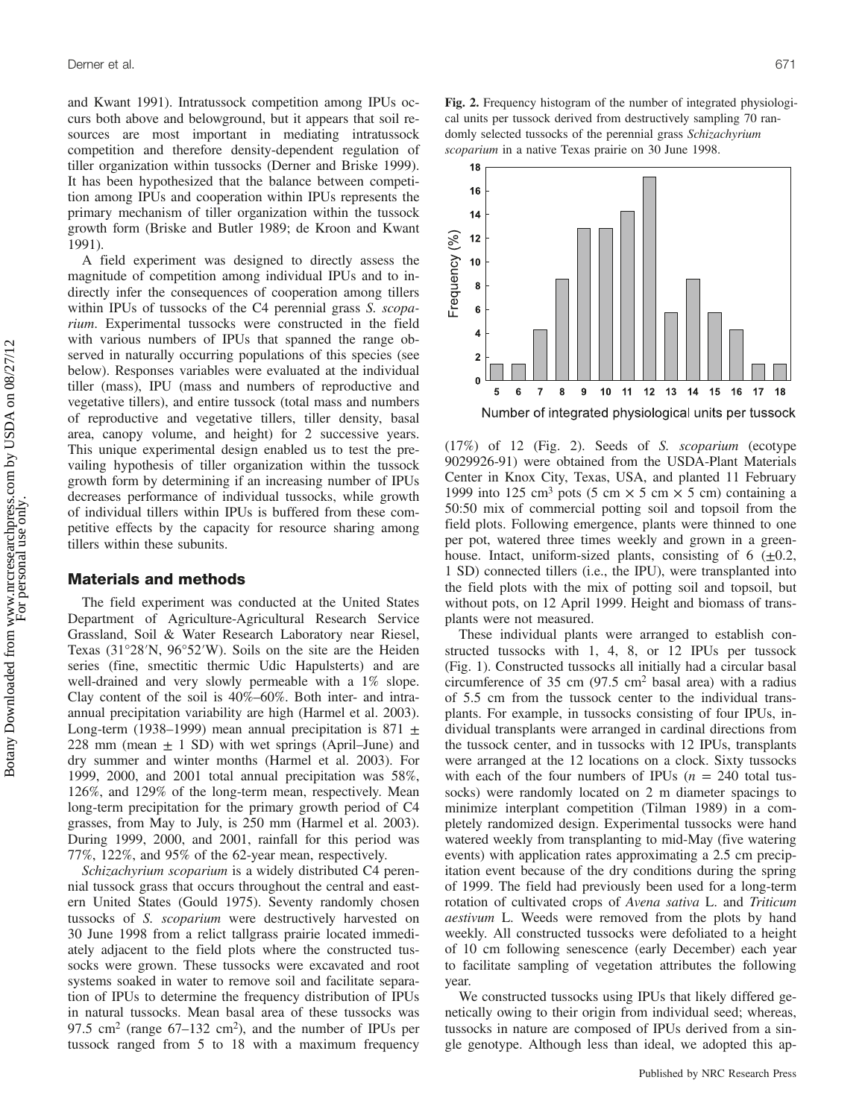and Kwant 1991). Intratussock competition among IPUs occurs both above and belowground, but it appears that soil resources are most important in mediating intratussock competition and therefore density-dependent regulation of tiller organization within tussocks (Derner and Briske 1999). It has been hypothesized that the balance between competition among IPUs and cooperation within IPUs represents the primary mechanism of tiller organization within the tussock growth form (Briske and Butler 1989; de Kroon and Kwant 1991).

A field experiment was designed to directly assess the magnitude of competition among individual IPUs and to indirectly infer the consequences of cooperation among tillers within IPUs of tussocks of the C4 perennial grass S. scoparium. Experimental tussocks were constructed in the field with various numbers of IPUs that spanned the range observed in naturally occurring populations of this species (see below). Responses variables were evaluated at the individual tiller (mass), IPU (mass and numbers of reproductive and vegetative tillers), and entire tussock (total mass and numbers of reproductive and vegetative tillers, tiller density, basal area, canopy volume, and height) for 2 successive years. This unique experimental design enabled us to test the prevailing hypothesis of tiller organization within the tussock growth form by determining if an increasing number of IPUs decreases performance of individual tussocks, while growth of individual tillers within IPUs is buffered from these competitive effects by the capacity for resource sharing among tillers within these subunits.

## Materials and methods

The field experiment was conducted at the United States Department of Agriculture-Agricultural Research Service Grassland, Soil & Water Research Laboratory near Riesel, Texas (31°28′N, 96°52′W). Soils on the site are the Heiden series (fine, smectitic thermic Udic Hapulsterts) and are well-drained and very slowly permeable with a 1% slope. Clay content of the soil is 40%–60%. Both inter- and intraannual precipitation variability are high (Harmel et al. 2003). Long-term (1938–1999) mean annual precipitation is 871  $\pm$ 228 mm (mean  $\pm$  1 SD) with wet springs (April–June) and dry summer and winter months (Harmel et al. 2003). For 1999, 2000, and 2001 total annual precipitation was 58%, 126%, and 129% of the long-term mean, respectively. Mean long-term precipitation for the primary growth period of C4 grasses, from May to July, is 250 mm (Harmel et al. 2003). During 1999, 2000, and 2001, rainfall for this period was 77%, 122%, and 95% of the 62-year mean, respectively.

Schizachyrium scoparium is a widely distributed C4 perennial tussock grass that occurs throughout the central and eastern United States (Gould 1975). Seventy randomly chosen tussocks of S. scoparium were destructively harvested on 30 June 1998 from a relict tallgrass prairie located immediately adjacent to the field plots where the constructed tussocks were grown. These tussocks were excavated and root systems soaked in water to remove soil and facilitate separation of IPUs to determine the frequency distribution of IPUs in natural tussocks. Mean basal area of these tussocks was 97.5 cm<sup>2</sup> (range  $67-132$  cm<sup>2</sup>), and the number of IPUs per tussock ranged from 5 to 18 with a maximum frequency

Fig. 2. Frequency histogram of the number of integrated physiological units per tussock derived from destructively sampling 70 randomly selected tussocks of the perennial grass Schizachyrium scoparium in a native Texas prairie on 30 June 1998.



(17%) of 12 (Fig. 2). Seeds of S. scoparium (ecotype 9029926-91) were obtained from the USDA-Plant Materials Center in Knox City, Texas, USA, and planted 11 February 1999 into 125 cm<sup>3</sup> pots (5 cm  $\times$  5 cm  $\times$  5 cm) containing a 50:50 mix of commercial potting soil and topsoil from the field plots. Following emergence, plants were thinned to one per pot, watered three times weekly and grown in a greenhouse. Intact, uniform-sized plants, consisting of 6  $(\pm 0.2,$ 1 SD) connected tillers (i.e., the IPU), were transplanted into the field plots with the mix of potting soil and topsoil, but without pots, on 12 April 1999. Height and biomass of transplants were not measured.

These individual plants were arranged to establish constructed tussocks with 1, 4, 8, or 12 IPUs per tussock (Fig. 1). Constructed tussocks all initially had a circular basal circumference of 35 cm (97.5 cm2 basal area) with a radius of 5.5 cm from the tussock center to the individual transplants. For example, in tussocks consisting of four IPUs, individual transplants were arranged in cardinal directions from the tussock center, and in tussocks with 12 IPUs, transplants were arranged at the 12 locations on a clock. Sixty tussocks with each of the four numbers of IPUs ( $n = 240$  total tussocks) were randomly located on 2 m diameter spacings to minimize interplant competition (Tilman 1989) in a completely randomized design. Experimental tussocks were hand watered weekly from transplanting to mid-May (five watering events) with application rates approximating a 2.5 cm precipitation event because of the dry conditions during the spring of 1999. The field had previously been used for a long-term rotation of cultivated crops of Avena sativa L. and Triticum aestivum L. Weeds were removed from the plots by hand weekly. All constructed tussocks were defoliated to a height of 10 cm following senescence (early December) each year to facilitate sampling of vegetation attributes the following year.

We constructed tussocks using IPUs that likely differed genetically owing to their origin from individual seed; whereas, tussocks in nature are composed of IPUs derived from a single genotype. Although less than ideal, we adopted this ap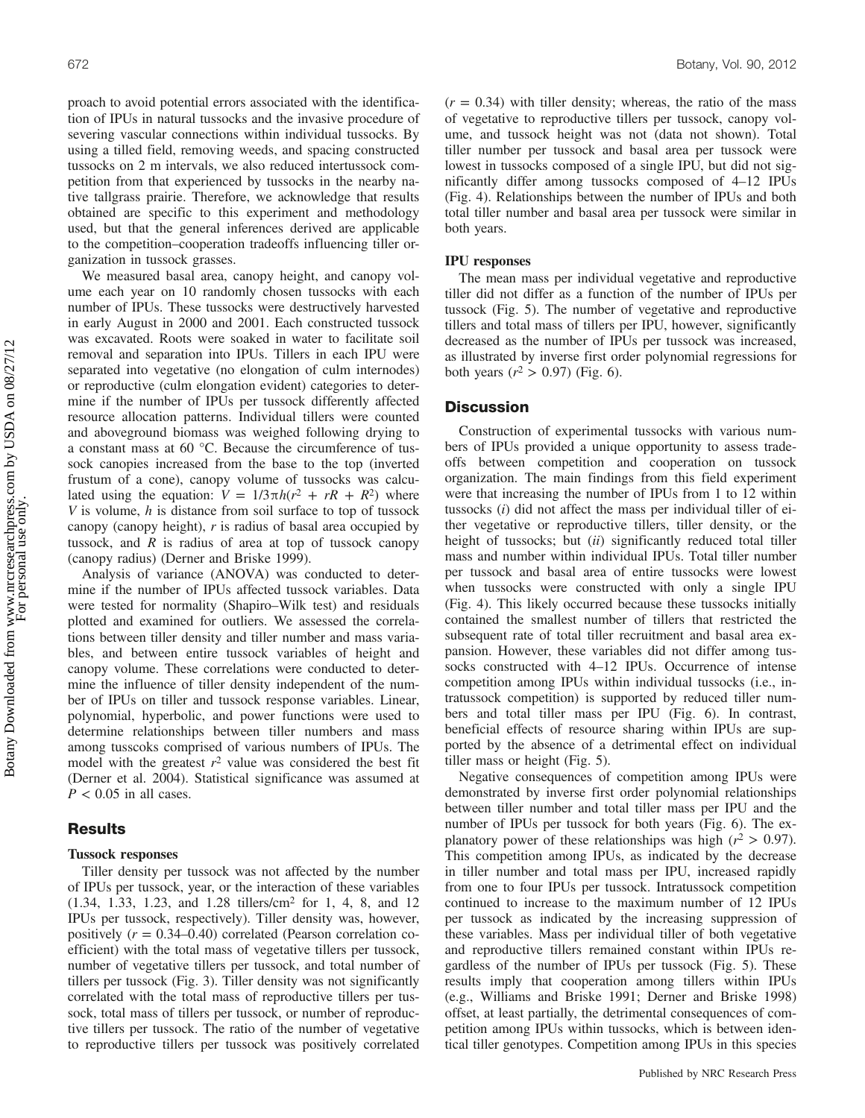proach to avoid potential errors associated with the identification of IPUs in natural tussocks and the invasive procedure of severing vascular connections within individual tussocks. By using a tilled field, removing weeds, and spacing constructed tussocks on 2 m intervals, we also reduced intertussock competition from that experienced by tussocks in the nearby native tallgrass prairie. Therefore, we acknowledge that results obtained are specific to this experiment and methodology used, but that the general inferences derived are applicable to the competition–cooperation tradeoffs influencing tiller organization in tussock grasses.

We measured basal area, canopy height, and canopy volume each year on 10 randomly chosen tussocks with each number of IPUs. These tussocks were destructively harvested in early August in 2000 and 2001. Each constructed tussock was excavated. Roots were soaked in water to facilitate soil removal and separation into IPUs. Tillers in each IPU were separated into vegetative (no elongation of culm internodes) or reproductive (culm elongation evident) categories to determine if the number of IPUs per tussock differently affected resource allocation patterns. Individual tillers were counted and aboveground biomass was weighed following drying to a constant mass at 60 °C. Because the circumference of tussock canopies increased from the base to the top (inverted frustum of a cone), canopy volume of tussocks was calculated using the equation:  $V = 1/3\pi h(r^2 + rR + R^2)$  where  $V$  is volume,  $h$  is distance from soil surface to top of tussock canopy (canopy height),  $r$  is radius of basal area occupied by tussock, and  $R$  is radius of area at top of tussock canopy (canopy radius) (Derner and Briske 1999).

Analysis of variance (ANOVA) was conducted to determine if the number of IPUs affected tussock variables. Data were tested for normality (Shapiro–Wilk test) and residuals plotted and examined for outliers. We assessed the correlations between tiller density and tiller number and mass variables, and between entire tussock variables of height and canopy volume. These correlations were conducted to determine the influence of tiller density independent of the number of IPUs on tiller and tussock response variables. Linear, polynomial, hyperbolic, and power functions were used to determine relationships between tiller numbers and mass among tusscoks comprised of various numbers of IPUs. The model with the greatest  $r^2$  value was considered the best fit (Derner et al. 2004). Statistical significance was assumed at  $P < 0.05$  in all cases.

# **Results**

#### Tussock responses

Tiller density per tussock was not affected by the number of IPUs per tussock, year, or the interaction of these variables (1.34, 1.33, 1.23, and 1.28 tillers/cm2 for 1, 4, 8, and 12 IPUs per tussock, respectively). Tiller density was, however, positively  $(r = 0.34{\text -}0.40)$  correlated (Pearson correlation coefficient) with the total mass of vegetative tillers per tussock, number of vegetative tillers per tussock, and total number of tillers per tussock (Fig. 3). Tiller density was not significantly correlated with the total mass of reproductive tillers per tussock, total mass of tillers per tussock, or number of reproductive tillers per tussock. The ratio of the number of vegetative to reproductive tillers per tussock was positively correlated  $(r = 0.34)$  with tiller density; whereas, the ratio of the mass of vegetative to reproductive tillers per tussock, canopy volume, and tussock height was not (data not shown). Total tiller number per tussock and basal area per tussock were lowest in tussocks composed of a single IPU, but did not significantly differ among tussocks composed of 4–12 IPUs (Fig. 4). Relationships between the number of IPUs and both total tiller number and basal area per tussock were similar in both years.

#### IPU responses

The mean mass per individual vegetative and reproductive tiller did not differ as a function of the number of IPUs per tussock (Fig. 5). The number of vegetative and reproductive tillers and total mass of tillers per IPU, however, significantly decreased as the number of IPUs per tussock was increased, as illustrated by inverse first order polynomial regressions for both years ( $r^2 > 0.97$ ) (Fig. 6).

## **Discussion**

Construction of experimental tussocks with various numbers of IPUs provided a unique opportunity to assess tradeoffs between competition and cooperation on tussock organization. The main findings from this field experiment were that increasing the number of IPUs from 1 to 12 within tussocks (i) did not affect the mass per individual tiller of either vegetative or reproductive tillers, tiller density, or the height of tussocks; but (ii) significantly reduced total tiller mass and number within individual IPUs. Total tiller number per tussock and basal area of entire tussocks were lowest when tussocks were constructed with only a single IPU (Fig. 4). This likely occurred because these tussocks initially contained the smallest number of tillers that restricted the subsequent rate of total tiller recruitment and basal area expansion. However, these variables did not differ among tussocks constructed with 4–12 IPUs. Occurrence of intense competition among IPUs within individual tussocks (i.e., intratussock competition) is supported by reduced tiller numbers and total tiller mass per IPU (Fig. 6). In contrast, beneficial effects of resource sharing within IPUs are supported by the absence of a detrimental effect on individual tiller mass or height (Fig. 5).

Negative consequences of competition among IPUs were demonstrated by inverse first order polynomial relationships between tiller number and total tiller mass per IPU and the number of IPUs per tussock for both years (Fig. 6). The explanatory power of these relationships was high ( $r^2 > 0.97$ ). This competition among IPUs, as indicated by the decrease in tiller number and total mass per IPU, increased rapidly from one to four IPUs per tussock. Intratussock competition continued to increase to the maximum number of 12 IPUs per tussock as indicated by the increasing suppression of these variables. Mass per individual tiller of both vegetative and reproductive tillers remained constant within IPUs regardless of the number of IPUs per tussock (Fig. 5). These results imply that cooperation among tillers within IPUs (e.g., Williams and Briske 1991; Derner and Briske 1998) offset, at least partially, the detrimental consequences of competition among IPUs within tussocks, which is between identical tiller genotypes. Competition among IPUs in this species

Botany Downloaded from www.nrcresearchpress.com by USDA on 08/27/12 Botany Downloaded from www.nrcresearchpress.com by USDA on 08/27/12 For personal use only.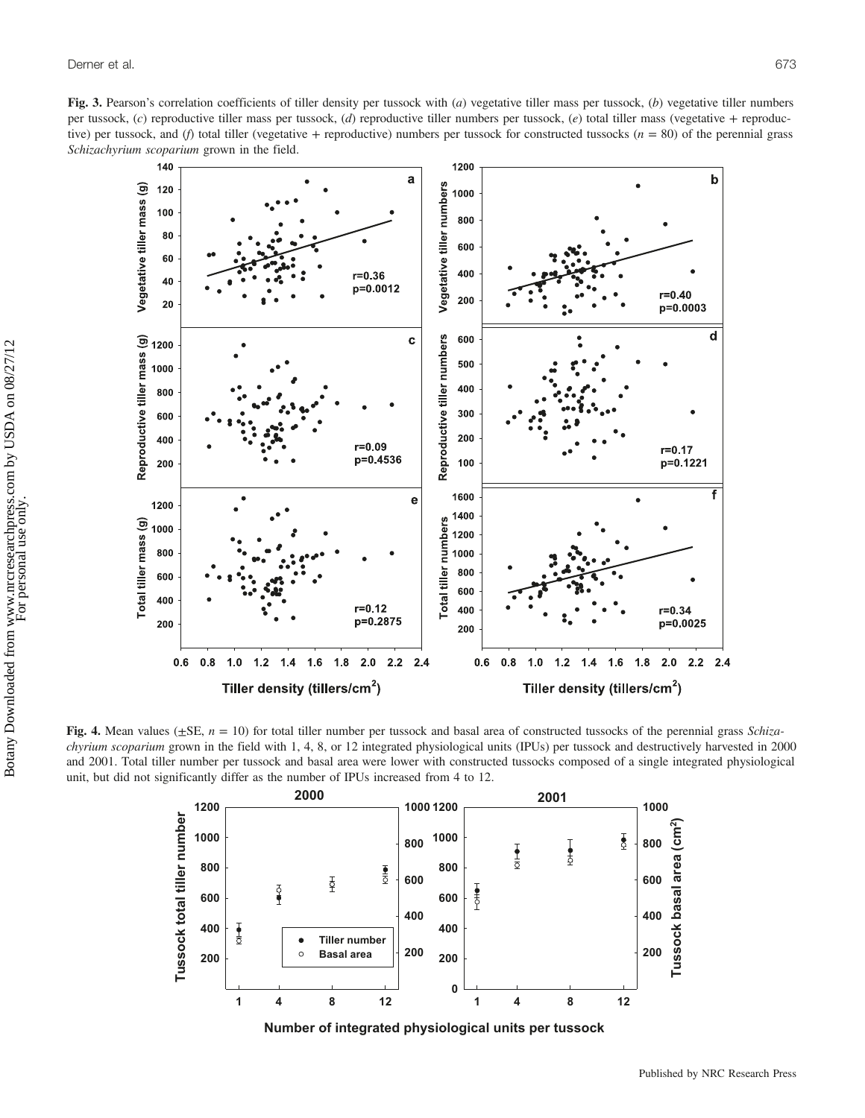Fig. 3. Pearson's correlation coefficients of tiller density per tussock with (a) vegetative tiller mass per tussock, (b) vegetative tiller numbers per tussock,  $(c)$  reproductive tiller mass per tussock,  $(d)$  reproductive tiller numbers per tussock,  $(e)$  total tiller mass (vegetative + reproductive) per tussock, and (f) total tiller (vegetative + reproductive) numbers per tussock for constructed tussocks ( $n = 80$ ) of the perennial grass Schizachyrium scoparium grown in the field.



Fig. 4. Mean values ( $\pm$ SE,  $n = 10$ ) for total tiller number per tussock and basal area of constructed tussocks of the perennial grass *Schiza*chyrium scoparium grown in the field with 1, 4, 8, or 12 integrated physiological units (IPUs) per tussock and destructively harvested in 2000 and 2001. Total tiller number per tussock and basal area were lower with constructed tussocks composed of a single integrated physiological unit, but did not significantly differ as the number of IPUs increased from 4 to 12.



**Number of integrated physiological units per tussock**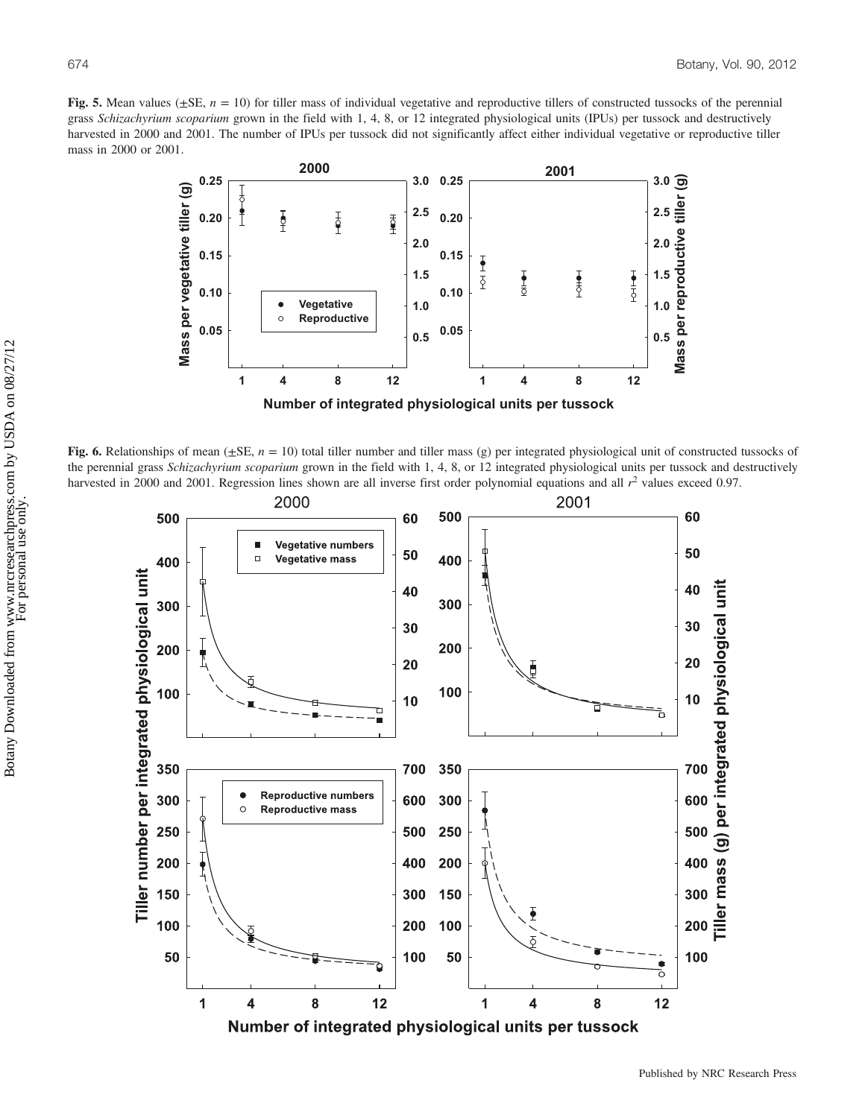Fig. 5. Mean values ( $\pm$ SE,  $n = 10$ ) for tiller mass of individual vegetative and reproductive tillers of constructed tussocks of the perennial grass Schizachyrium scoparium grown in the field with 1, 4, 8, or 12 integrated physiological units (IPUs) per tussock and destructively harvested in 2000 and 2001. The number of IPUs per tussock did not significantly affect either individual vegetative or reproductive tiller mass in 2000 or 2001.



Fig. 6. Relationships of mean ( $\pm$ SE,  $n = 10$ ) total tiller number and tiller mass (g) per integrated physiological unit of constructed tussocks of the perennial grass Schizachyrium scoparium grown in the field with 1, 4, 8, or 12 integrated physiological units per tussock and destructively harvested in 2000 and 2001. Regression lines shown are all inverse first order polynomial equations and all  $r<sup>2</sup>$  values exceed 0.97.

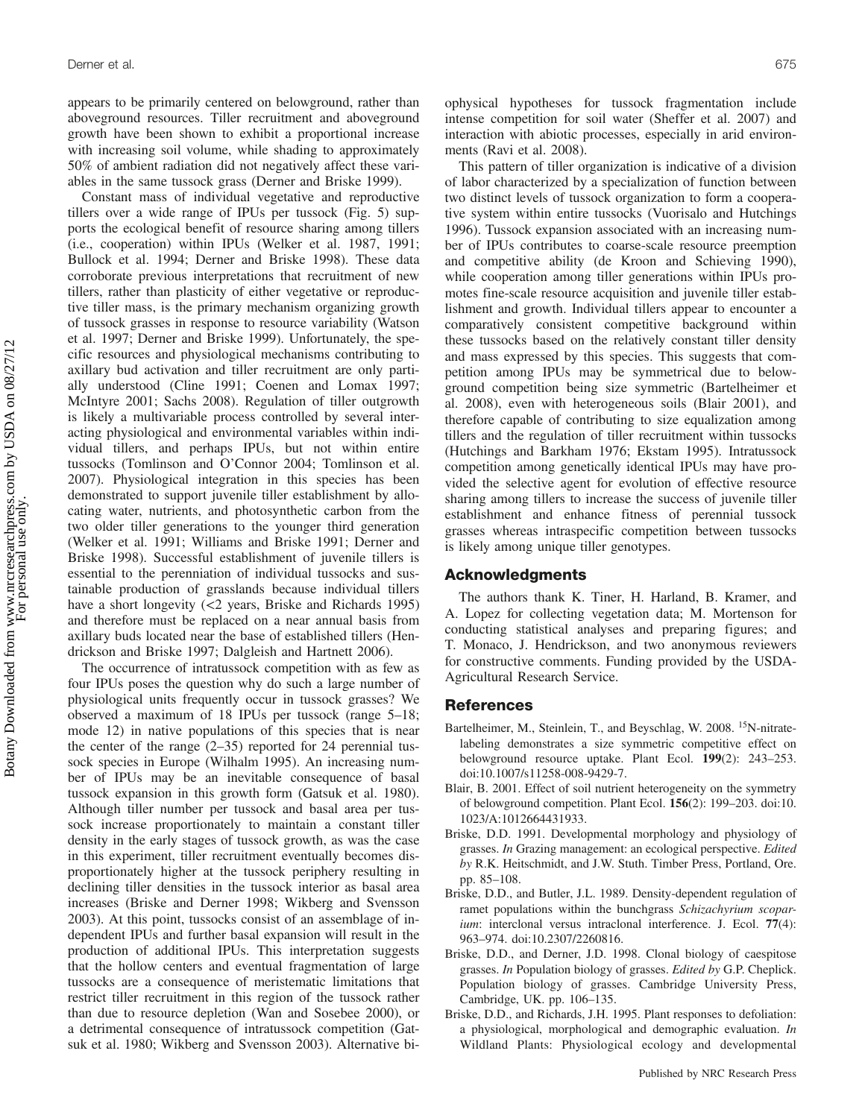appears to be primarily centered on belowground, rather than aboveground resources. Tiller recruitment and aboveground growth have been shown to exhibit a proportional increase with increasing soil volume, while shading to approximately 50% of ambient radiation did not negatively affect these variables in the same tussock grass (Derner and Briske 1999).

Constant mass of individual vegetative and reproductive tillers over a wide range of IPUs per tussock (Fig. 5) supports the ecological benefit of resource sharing among tillers (i.e., cooperation) within IPUs (Welker et al. 1987, 1991; Bullock et al. 1994; Derner and Briske 1998). These data corroborate previous interpretations that recruitment of new tillers, rather than plasticity of either vegetative or reproductive tiller mass, is the primary mechanism organizing growth of tussock grasses in response to resource variability (Watson et al. 1997; Derner and Briske 1999). Unfortunately, the specific resources and physiological mechanisms contributing to axillary bud activation and tiller recruitment are only partially understood (Cline 1991; Coenen and Lomax 1997; McIntyre 2001; Sachs 2008). Regulation of tiller outgrowth is likely a multivariable process controlled by several interacting physiological and environmental variables within individual tillers, and perhaps IPUs, but not within entire tussocks (Tomlinson and O'Connor 2004; Tomlinson et al. 2007). Physiological integration in this species has been demonstrated to support juvenile tiller establishment by allocating water, nutrients, and photosynthetic carbon from the two older tiller generations to the younger third generation (Welker et al. 1991; Williams and Briske 1991; Derner and Briske 1998). Successful establishment of juvenile tillers is essential to the perenniation of individual tussocks and sustainable production of grasslands because individual tillers have a short longevity (<2 years, Briske and Richards 1995) and therefore must be replaced on a near annual basis from axillary buds located near the base of established tillers (Hendrickson and Briske 1997; Dalgleish and Hartnett 2006).

The occurrence of intratussock competition with as few as four IPUs poses the question why do such a large number of physiological units frequently occur in tussock grasses? We observed a maximum of 18 IPUs per tussock (range 5–18; mode 12) in native populations of this species that is near the center of the range  $(2-35)$  reported for 24 perennial tussock species in Europe (Wilhalm 1995). An increasing number of IPUs may be an inevitable consequence of basal tussock expansion in this growth form (Gatsuk et al. 1980). Although tiller number per tussock and basal area per tussock increase proportionately to maintain a constant tiller density in the early stages of tussock growth, as was the case in this experiment, tiller recruitment eventually becomes disproportionately higher at the tussock periphery resulting in declining tiller densities in the tussock interior as basal area increases (Briske and Derner 1998; Wikberg and Svensson 2003). At this point, tussocks consist of an assemblage of independent IPUs and further basal expansion will result in the production of additional IPUs. This interpretation suggests that the hollow centers and eventual fragmentation of large tussocks are a consequence of meristematic limitations that restrict tiller recruitment in this region of the tussock rather than due to resource depletion (Wan and Sosebee 2000), or a detrimental consequence of intratussock competition (Gatsuk et al. 1980; Wikberg and Svensson 2003). Alternative biophysical hypotheses for tussock fragmentation include intense competition for soil water (Sheffer et al. 2007) and interaction with abiotic processes, especially in arid environments (Ravi et al. 2008).

This pattern of tiller organization is indicative of a division of labor characterized by a specialization of function between two distinct levels of tussock organization to form a cooperative system within entire tussocks (Vuorisalo and Hutchings 1996). Tussock expansion associated with an increasing number of IPUs contributes to coarse-scale resource preemption and competitive ability (de Kroon and Schieving 1990), while cooperation among tiller generations within IPUs promotes fine-scale resource acquisition and juvenile tiller establishment and growth. Individual tillers appear to encounter a comparatively consistent competitive background within these tussocks based on the relatively constant tiller density and mass expressed by this species. This suggests that competition among IPUs may be symmetrical due to belowground competition being size symmetric (Bartelheimer et al. 2008), even with heterogeneous soils (Blair 2001), and therefore capable of contributing to size equalization among tillers and the regulation of tiller recruitment within tussocks (Hutchings and Barkham 1976; Ekstam 1995). Intratussock competition among genetically identical IPUs may have provided the selective agent for evolution of effective resource sharing among tillers to increase the success of juvenile tiller establishment and enhance fitness of perennial tussock grasses whereas intraspecific competition between tussocks is likely among unique tiller genotypes.

# Acknowledgments

The authors thank K. Tiner, H. Harland, B. Kramer, and A. Lopez for collecting vegetation data; M. Mortenson for conducting statistical analyses and preparing figures; and T. Monaco, J. Hendrickson, and two anonymous reviewers for constructive comments. Funding provided by the USDA-Agricultural Research Service.

## **References**

- Bartelheimer, M., Steinlein, T., and Beyschlag, W. 2008. <sup>15</sup>N-nitratelabeling demonstrates a size symmetric competitive effect on belowground resource uptake. Plant Ecol. 199(2): 243–253. doi:10.1007/s11258-008-9429-7.
- Blair, B. 2001. Effect of soil nutrient heterogeneity on the symmetry of belowground competition. Plant Ecol. 156(2): 199–203. doi:10. 1023/A:1012664431933.
- Briske, D.D. 1991. Developmental morphology and physiology of grasses. In Grazing management: an ecological perspective. Edited by R.K. Heitschmidt, and J.W. Stuth. Timber Press, Portland, Ore. pp. 85–108.
- Briske, D.D., and Butler, J.L. 1989. Density-dependent regulation of ramet populations within the bunchgrass Schizachyrium scoparium: interclonal versus intraclonal interference. J. Ecol. 77(4): 963–974. doi:10.2307/2260816.
- Briske, D.D., and Derner, J.D. 1998. Clonal biology of caespitose grasses. In Population biology of grasses. Edited by G.P. Cheplick. Population biology of grasses. Cambridge University Press, Cambridge, UK. pp. 106–135.
- Briske, D.D., and Richards, J.H. 1995. Plant responses to defoliation: a physiological, morphological and demographic evaluation. In Wildland Plants: Physiological ecology and developmental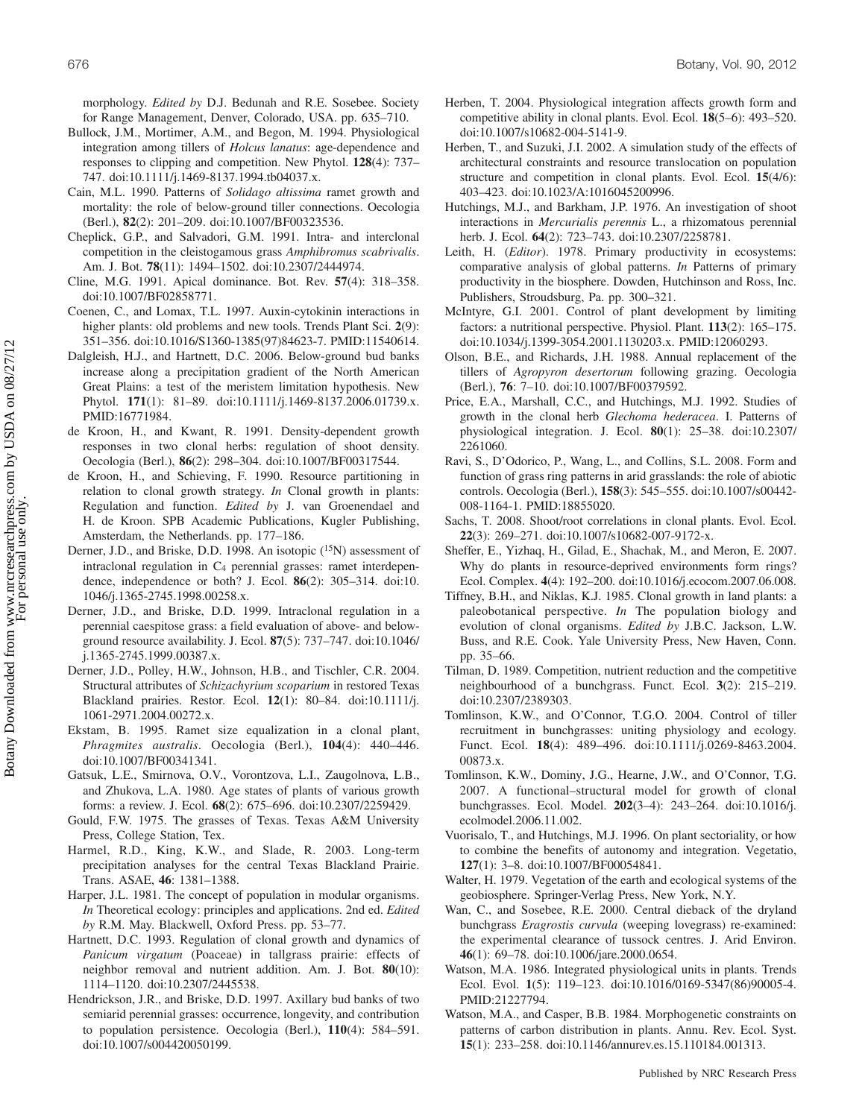morphology. *Edited by* D.J. Bedunah and R.E. Sosebee. Society for Range Management, Denver, Colorado, USA. pp. 635–710.

- Bullock, J.M., Mortimer, A.M., and Begon, M. 1994. Physiological integration among tillers of Holcus lanatus: age-dependence and responses to clipping and competition. New Phytol. 128(4): 737– 747. doi:10.1111/j.1469-8137.1994.tb04037.x.
- Cain, M.L. 1990. Patterns of Solidago altissima ramet growth and mortality: the role of below-ground tiller connections. Oecologia (Berl.), 82(2): 201–209. doi:10.1007/BF00323536.
- Cheplick, G.P., and Salvadori, G.M. 1991. Intra- and interclonal competition in the cleistogamous grass Amphibromus scabrivalis. Am. J. Bot. 78(11): 1494–1502. doi:10.2307/2444974.
- Cline, M.G. 1991. Apical dominance. Bot. Rev. 57(4): 318–358. doi:10.1007/BF02858771.
- Coenen, C., and Lomax, T.L. 1997. Auxin-cytokinin interactions in higher plants: old problems and new tools. Trends Plant Sci. 2(9): 351–356. doi:10.1016/S1360-1385(97)84623-7. PMID:11540614.
- Dalgleish, H.J., and Hartnett, D.C. 2006. Below-ground bud banks increase along a precipitation gradient of the North American Great Plains: a test of the meristem limitation hypothesis. New Phytol. 171(1): 81-89. doi:10.1111/j.1469-8137.2006.01739.x. PMID:16771984.
- de Kroon, H., and Kwant, R. 1991. Density-dependent growth responses in two clonal herbs: regulation of shoot density. Oecologia (Berl.), 86(2): 298–304. doi:10.1007/BF00317544.
- de Kroon, H., and Schieving, F. 1990. Resource partitioning in relation to clonal growth strategy. In Clonal growth in plants: Regulation and function. Edited by J. van Groenendael and H. de Kroon. SPB Academic Publications, Kugler Publishing, Amsterdam, the Netherlands. pp. 177–186.
- Derner, J.D., and Briske, D.D. 1998. An isotopic (<sup>15</sup>N) assessment of intraclonal regulation in  $C_4$  perennial grasses: ramet interdependence, independence or both? J. Ecol. 86(2): 305–314. doi:10. 1046/j.1365-2745.1998.00258.x.
- Derner, J.D., and Briske, D.D. 1999. Intraclonal regulation in a perennial caespitose grass: a field evaluation of above- and belowground resource availability. J. Ecol. 87(5): 737–747. doi:10.1046/ j.1365-2745.1999.00387.x.
- Derner, J.D., Polley, H.W., Johnson, H.B., and Tischler, C.R. 2004. Structural attributes of Schizachyrium scoparium in restored Texas Blackland prairies. Restor. Ecol. 12(1): 80–84. doi:10.1111/j. 1061-2971.2004.00272.x.
- Ekstam, B. 1995. Ramet size equalization in a clonal plant, Phragmites australis. Oecologia (Berl.), 104(4): 440–446. doi:10.1007/BF00341341.
- Gatsuk, L.E., Smirnova, O.V., Vorontzova, L.I., Zaugolnova, L.B., and Zhukova, L.A. 1980. Age states of plants of various growth forms: a review. J. Ecol. 68(2): 675–696. doi:10.2307/2259429.
- Gould, F.W. 1975. The grasses of Texas. Texas A&M University Press, College Station, Tex.
- Harmel, R.D., King, K.W., and Slade, R. 2003. Long-term precipitation analyses for the central Texas Blackland Prairie. Trans. ASAE, 46: 1381–1388.
- Harper, J.L. 1981. The concept of population in modular organisms. In Theoretical ecology: principles and applications. 2nd ed. Edited by R.M. May. Blackwell, Oxford Press. pp. 53–77.
- Hartnett, D.C. 1993. Regulation of clonal growth and dynamics of Panicum virgatum (Poaceae) in tallgrass prairie: effects of neighbor removal and nutrient addition. Am. J. Bot. 80(10): 1114–1120. doi:10.2307/2445538.
- Hendrickson, J.R., and Briske, D.D. 1997. Axillary bud banks of two semiarid perennial grasses: occurrence, longevity, and contribution to population persistence. Oecologia (Berl.), 110(4): 584–591. doi:10.1007/s004420050199.
- Herben, T. 2004. Physiological integration affects growth form and competitive ability in clonal plants. Evol. Ecol. 18(5–6): 493–520. doi:10.1007/s10682-004-5141-9.
- Herben, T., and Suzuki, J.I. 2002. A simulation study of the effects of architectural constraints and resource translocation on population structure and competition in clonal plants. Evol. Ecol. 15(4/6): 403–423. doi:10.1023/A:1016045200996.
- Hutchings, M.J., and Barkham, J.P. 1976. An investigation of shoot interactions in Mercurialis perennis L., a rhizomatous perennial herb. J. Ecol. **64**(2): 723–743. doi:10.2307/2258781.
- Leith, H. (*Editor*). 1978. Primary productivity in ecosystems: comparative analysis of global patterns. In Patterns of primary productivity in the biosphere. Dowden, Hutchinson and Ross, Inc. Publishers, Stroudsburg, Pa. pp. 300–321.
- McIntyre, G.I. 2001. Control of plant development by limiting factors: a nutritional perspective. Physiol. Plant. 113(2): 165–175. doi:10.1034/j.1399-3054.2001.1130203.x. PMID:12060293.
- Olson, B.E., and Richards, J.H. 1988. Annual replacement of the tillers of Agropyron desertorum following grazing. Oecologia (Berl.), 76: 7–10. doi:10.1007/BF00379592.
- Price, E.A., Marshall, C.C., and Hutchings, M.J. 1992. Studies of growth in the clonal herb Glechoma hederacea. I. Patterns of physiological integration. J. Ecol. 80(1): 25–38. doi:10.2307/ 2261060.
- Ravi, S., D'Odorico, P., Wang, L., and Collins, S.L. 2008. Form and function of grass ring patterns in arid grasslands: the role of abiotic controls. Oecologia (Berl.), 158(3): 545–555. doi:10.1007/s00442- 008-1164-1. PMID:18855020.
- Sachs, T. 2008. Shoot/root correlations in clonal plants. Evol. Ecol. 22(3): 269–271. doi:10.1007/s10682-007-9172-x.
- Sheffer, E., Yizhaq, H., Gilad, E., Shachak, M., and Meron, E. 2007. Why do plants in resource-deprived environments form rings? Ecol. Complex. 4(4): 192–200. doi:10.1016/j.ecocom.2007.06.008.
- Tiffney, B.H., and Niklas, K.J. 1985. Clonal growth in land plants: a paleobotanical perspective. In The population biology and evolution of clonal organisms. Edited by J.B.C. Jackson, L.W. Buss, and R.E. Cook. Yale University Press, New Haven, Conn. pp. 35–66.
- Tilman, D. 1989. Competition, nutrient reduction and the competitive neighbourhood of a bunchgrass. Funct. Ecol. 3(2): 215–219. doi:10.2307/2389303.
- Tomlinson, K.W., and O'Connor, T.G.O. 2004. Control of tiller recruitment in bunchgrasses: uniting physiology and ecology. Funct. Ecol. 18(4): 489–496. doi:10.1111/j.0269-8463.2004. 00873.x.
- Tomlinson, K.W., Dominy, J.G., Hearne, J.W., and O'Connor, T.G. 2007. A functional–structural model for growth of clonal bunchgrasses. Ecol. Model. 202(3–4): 243–264. doi:10.1016/j. ecolmodel.2006.11.002.
- Vuorisalo, T., and Hutchings, M.J. 1996. On plant sectoriality, or how to combine the benefits of autonomy and integration. Vegetatio, 127(1): 3–8. doi:10.1007/BF00054841.
- Walter, H. 1979. Vegetation of the earth and ecological systems of the geobiosphere. Springer-Verlag Press, New York, N.Y.
- Wan, C., and Sosebee, R.E. 2000. Central dieback of the dryland bunchgrass Eragrostis curvula (weeping lovegrass) re-examined: the experimental clearance of tussock centres. J. Arid Environ. 46(1): 69–78. doi:10.1006/jare.2000.0654.
- Watson, M.A. 1986. Integrated physiological units in plants. Trends Ecol. Evol. 1(5): 119–123. doi:10.1016/0169-5347(86)90005-4. PMID:21227794.
- Watson, M.A., and Casper, B.B. 1984. Morphogenetic constraints on patterns of carbon distribution in plants. Annu. Rev. Ecol. Syst. 15(1): 233–258. doi:10.1146/annurev.es.15.110184.001313.